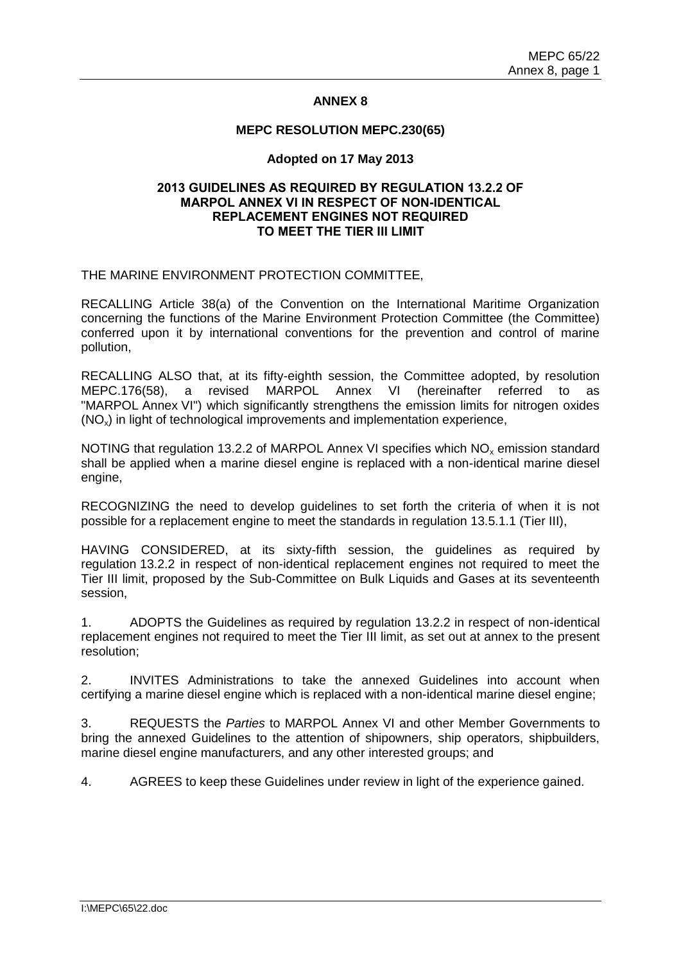# **ANNEX 8**

#### **MEPC RESOLUTION MEPC.230(65)**

### **Adopted on 17 May 2013**

# **2013 GUIDELINES AS REQUIRED BY REGULATION 13.2.2 OF MARPOL ANNEX VI IN RESPECT OF NON-IDENTICAL REPLACEMENT ENGINES NOT REQUIRED TO MEET THE TIER III LIMIT**

THE MARINE ENVIRONMENT PROTECTION COMMITTEE,

RECALLING Article 38(a) of the Convention on the International Maritime Organization concerning the functions of the Marine Environment Protection Committee (the Committee) conferred upon it by international conventions for the prevention and control of marine pollution,

RECALLING ALSO that, at its fifty-eighth session, the Committee adopted, by resolution MEPC.176(58), a revised MARPOL Annex VI (hereinafter referred to as "MARPOL Annex VI") which significantly strengthens the emission limits for nitrogen oxides  $(NO<sub>x</sub>)$  in light of technological improvements and implementation experience,

NOTING that regulation 13.2.2 of MARPOL Annex VI specifies which NO<sub>x</sub> emission standard shall be applied when a marine diesel engine is replaced with a non-identical marine diesel engine,

RECOGNIZING the need to develop guidelines to set forth the criteria of when it is not possible for a replacement engine to meet the standards in regulation 13.5.1.1 (Tier III),

HAVING CONSIDERED, at its sixty-fifth session, the guidelines as required by regulation 13.2.2 in respect of non-identical replacement engines not required to meet the Tier III limit, proposed by the Sub-Committee on Bulk Liquids and Gases at its seventeenth session,

1. ADOPTS the Guidelines as required by regulation 13.2.2 in respect of non-identical replacement engines not required to meet the Tier III limit, as set out at annex to the present resolution;

2. INVITES Administrations to take the annexed Guidelines into account when certifying a marine diesel engine which is replaced with a non-identical marine diesel engine;

3. REQUESTS the *Parties* to MARPOL Annex VI and other Member Governments to bring the annexed Guidelines to the attention of shipowners, ship operators, shipbuilders, marine diesel engine manufacturers, and any other interested groups; and

4. AGREES to keep these Guidelines under review in light of the experience gained.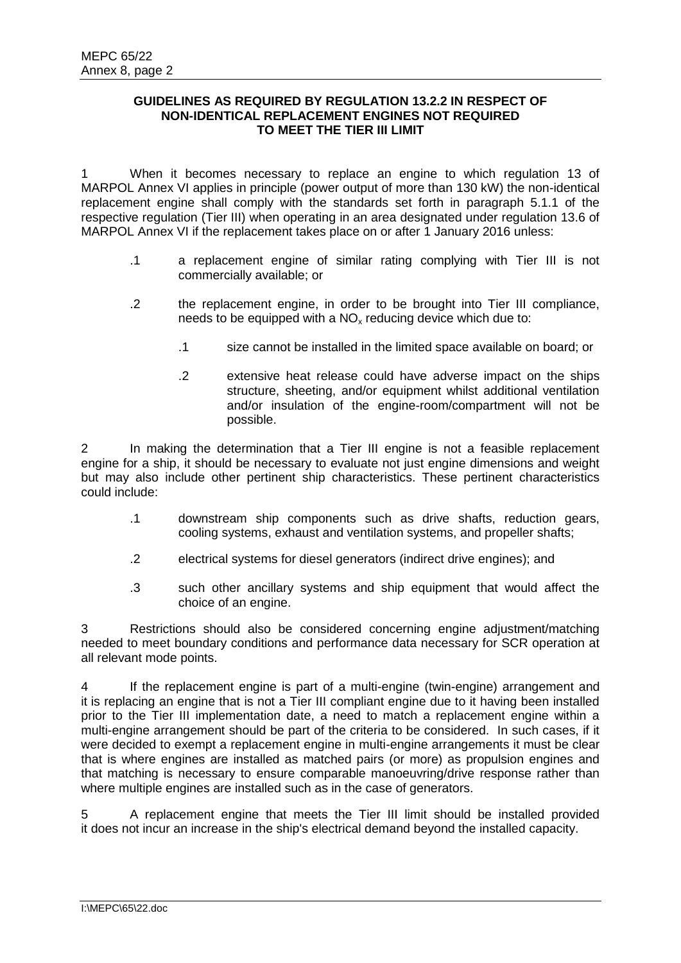### **GUIDELINES AS REQUIRED BY REGULATION 13.2.2 IN RESPECT OF NON-IDENTICAL REPLACEMENT ENGINES NOT REQUIRED TO MEET THE TIER III LIMIT**

1 When it becomes necessary to replace an engine to which regulation 13 of MARPOL Annex VI applies in principle (power output of more than 130 kW) the non-identical replacement engine shall comply with the standards set forth in paragraph 5.1.1 of the respective regulation (Tier III) when operating in an area designated under regulation 13.6 of MARPOL Annex VI if the replacement takes place on or after 1 January 2016 unless:

- .1 a replacement engine of similar rating complying with Tier III is not commercially available; or
- .2 the replacement engine, in order to be brought into Tier III compliance, needs to be equipped with a  $NO<sub>x</sub>$  reducing device which due to:
	- .1 size cannot be installed in the limited space available on board; or
	- .2 extensive heat release could have adverse impact on the ships structure, sheeting, and/or equipment whilst additional ventilation and/or insulation of the engine-room/compartment will not be possible.

2 In making the determination that a Tier III engine is not a feasible replacement engine for a ship, it should be necessary to evaluate not just engine dimensions and weight but may also include other pertinent ship characteristics. These pertinent characteristics could include:

- .1 downstream ship components such as drive shafts, reduction gears, cooling systems, exhaust and ventilation systems, and propeller shafts;
- .2 electrical systems for diesel generators (indirect drive engines); and
- .3 such other ancillary systems and ship equipment that would affect the choice of an engine.

3 Restrictions should also be considered concerning engine adjustment/matching needed to meet boundary conditions and performance data necessary for SCR operation at all relevant mode points.

4 If the replacement engine is part of a multi-engine (twin-engine) arrangement and it is replacing an engine that is not a Tier III compliant engine due to it having been installed prior to the Tier III implementation date, a need to match a replacement engine within a multi-engine arrangement should be part of the criteria to be considered. In such cases, if it were decided to exempt a replacement engine in multi-engine arrangements it must be clear that is where engines are installed as matched pairs (or more) as propulsion engines and that matching is necessary to ensure comparable manoeuvring/drive response rather than where multiple engines are installed such as in the case of generators.

5 A replacement engine that meets the Tier III limit should be installed provided it does not incur an increase in the ship's electrical demand beyond the installed capacity.